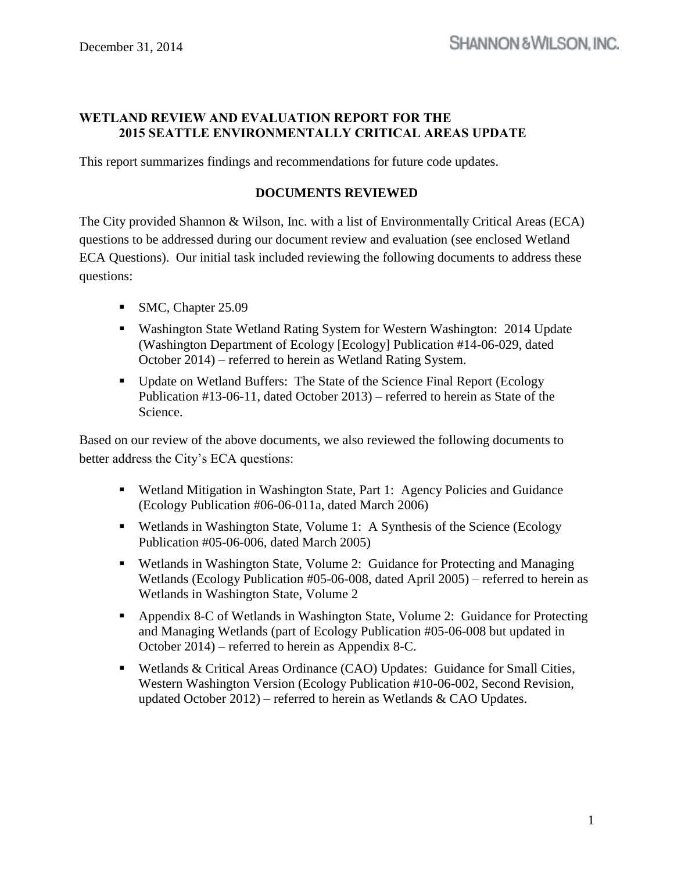# **WETLAND REVIEW AND EVALUATION REPORT FOR THE 2015 SEATTLE ENVIRONMENTALLY CRITICAL AREAS UPDATE**

This report summarizes findings and recommendations for future code updates.

#### **DOCUMENTS REVIEWED**

The City provided Shannon & Wilson, Inc. with a list of Environmentally Critical Areas (ECA) questions to be addressed during our document review and evaluation (see enclosed Wetland ECA Questions). Our initial task included reviewing the following documents to address these questions:

- SMC, Chapter 25.09
- Washington State Wetland Rating System for Western Washington: 2014 Update (Washington Department of Ecology [Ecology] Publication #14-06-029, dated October 2014) – referred to herein as Wetland Rating System.
- Update on Wetland Buffers: The State of the Science Final Report (Ecology Publication #13-06-11, dated October 2013) – referred to herein as State of the Science.

Based on our review of the above documents, we also reviewed the following documents to better address the City's ECA questions:

- Wetland Mitigation in Washington State, Part 1: Agency Policies and Guidance (Ecology Publication #06-06-011a, dated March 2006)
- Wetlands in Washington State, Volume 1: A Synthesis of the Science (Ecology Publication #05-06-006, dated March 2005)
- Wetlands in Washington State, Volume 2: Guidance for Protecting and Managing Wetlands (Ecology Publication #05-06-008, dated April 2005) – referred to herein as Wetlands in Washington State, Volume 2
- Appendix 8-C of Wetlands in Washington State, Volume 2: Guidance for Protecting and Managing Wetlands (part of Ecology Publication #05-06-008 but updated in October 2014) – referred to herein as Appendix 8-C.
- Wetlands & Critical Areas Ordinance (CAO) Updates: Guidance for Small Cities, Western Washington Version (Ecology Publication #10-06-002, Second Revision, updated October 2012) – referred to herein as Wetlands  $&$  CAO Updates.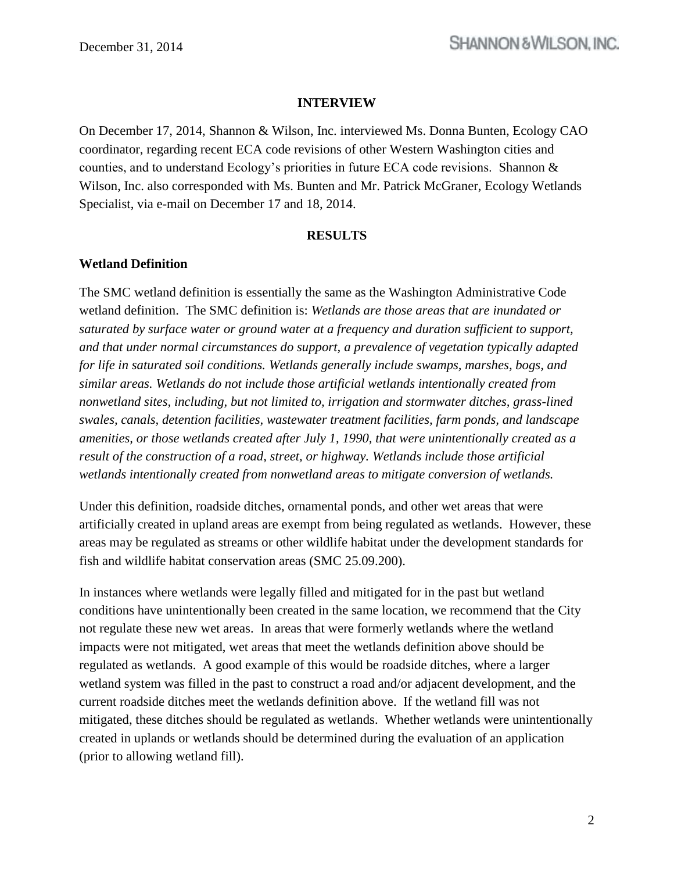#### **INTERVIEW**

On December 17, 2014, Shannon & Wilson, Inc. interviewed Ms. Donna Bunten, Ecology CAO coordinator, regarding recent ECA code revisions of other Western Washington cities and counties, and to understand Ecology's priorities in future ECA code revisions. Shannon & Wilson, Inc. also corresponded with Ms. Bunten and Mr. Patrick McGraner, Ecology Wetlands Specialist, via e-mail on December 17 and 18, 2014.

#### **RESULTS**

#### **Wetland Definition**

The SMC wetland definition is essentially the same as the Washington Administrative Code wetland definition. The SMC definition is: *Wetlands are those areas that are inundated or saturated by surface water or ground water at a frequency and duration sufficient to support, and that under normal circumstances do support, a prevalence of vegetation typically adapted for life in saturated soil conditions. Wetlands generally include swamps, marshes, bogs, and similar areas. Wetlands do not include those artificial wetlands intentionally created from nonwetland sites, including, but not limited to, irrigation and stormwater ditches, grass-lined swales, canals, detention facilities, wastewater treatment facilities, farm ponds, and landscape amenities, or those wetlands created after July 1, 1990, that were unintentionally created as a result of the construction of a road, street, or highway. Wetlands include those artificial wetlands intentionally created from nonwetland areas to mitigate conversion of wetlands.*

Under this definition, roadside ditches, ornamental ponds, and other wet areas that were artificially created in upland areas are exempt from being regulated as wetlands. However, these areas may be regulated as streams or other wildlife habitat under the development standards for fish and wildlife habitat conservation areas (SMC 25.09.200).

In instances where wetlands were legally filled and mitigated for in the past but wetland conditions have unintentionally been created in the same location, we recommend that the City not regulate these new wet areas. In areas that were formerly wetlands where the wetland impacts were not mitigated, wet areas that meet the wetlands definition above should be regulated as wetlands. A good example of this would be roadside ditches, where a larger wetland system was filled in the past to construct a road and/or adjacent development, and the current roadside ditches meet the wetlands definition above. If the wetland fill was not mitigated, these ditches should be regulated as wetlands. Whether wetlands were unintentionally created in uplands or wetlands should be determined during the evaluation of an application (prior to allowing wetland fill).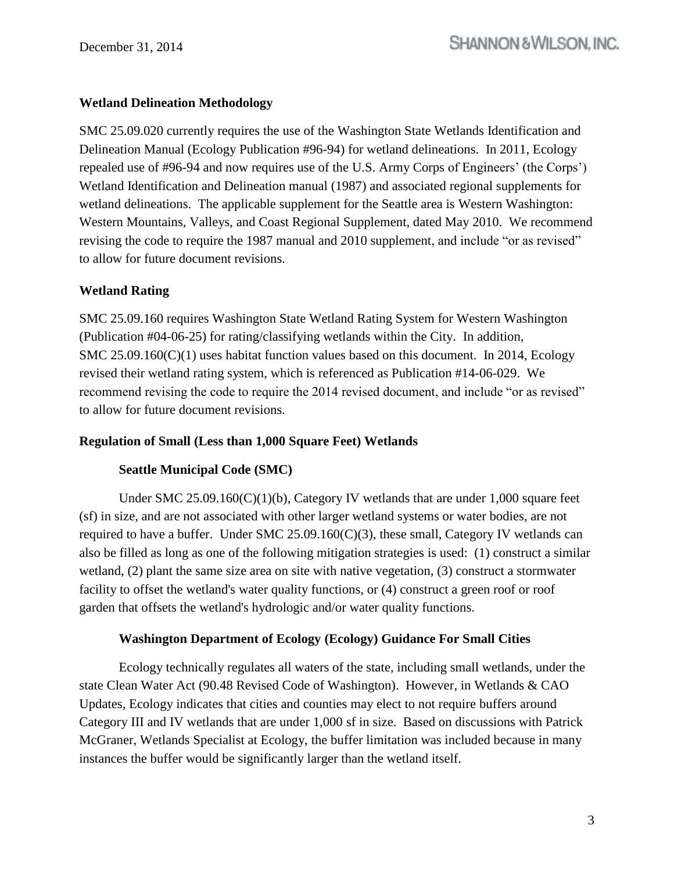### **Wetland Delineation Methodology**

SMC 25.09.020 currently requires the use of the Washington State Wetlands Identification and Delineation Manual (Ecology Publication #96-94) for wetland delineations. In 2011, Ecology repealed use of #96-94 and now requires use of the U.S. Army Corps of Engineers' (the Corps') Wetland Identification and Delineation manual (1987) and associated regional supplements for wetland delineations. The applicable supplement for the Seattle area is Western Washington: Western Mountains, Valleys, and Coast Regional Supplement, dated May 2010. We recommend revising the code to require the 1987 manual and 2010 supplement, and include "or as revised" to allow for future document revisions.

### **Wetland Rating**

SMC 25.09.160 requires Washington State Wetland Rating System for Western Washington (Publication #04-06-25) for rating/classifying wetlands within the City. In addition, SMC 25.09.160(C)(1) uses habitat function values based on this document. In 2014, Ecology revised their wetland rating system, which is referenced as Publication #14-06-029. We recommend revising the code to require the 2014 revised document, and include "or as revised" to allow for future document revisions.

### **Regulation of Small (Less than 1,000 Square Feet) Wetlands**

### **Seattle Municipal Code (SMC)**

Under SMC  $25.09.160(C)(1)(b)$ , Category IV wetlands that are under 1,000 square feet (sf) in size, and are not associated with other larger wetland systems or water bodies, are not required to have a buffer. Under SMC  $25.09.160(C)(3)$ , these small, Category IV wetlands can also be filled as long as one of the following mitigation strategies is used: (1) construct a similar wetland, (2) plant the same size area on site with native vegetation, (3) construct a stormwater facility to offset the wetland's water quality functions, or (4) construct a green roof or roof garden that offsets the wetland's hydrologic and/or water quality functions.

### **Washington Department of Ecology (Ecology) Guidance For Small Cities**

Ecology technically regulates all waters of the state, including small wetlands, under the state Clean Water Act (90.48 Revised Code of Washington). However, in Wetlands & CAO Updates, Ecology indicates that cities and counties may elect to not require buffers around Category III and IV wetlands that are under 1,000 sf in size. Based on discussions with Patrick McGraner, Wetlands Specialist at Ecology, the buffer limitation was included because in many instances the buffer would be significantly larger than the wetland itself.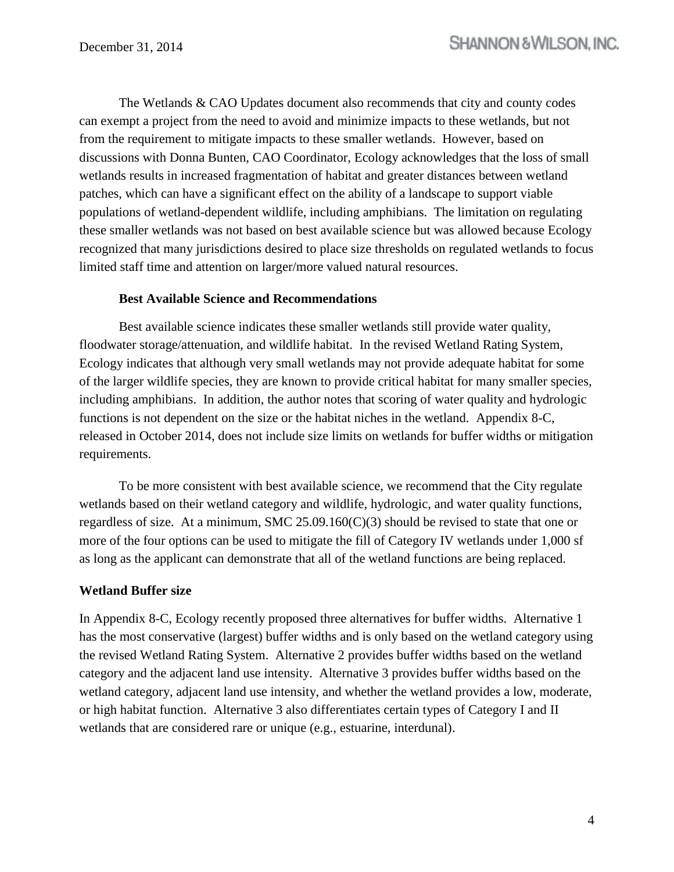The Wetlands & CAO Updates document also recommends that city and county codes can exempt a project from the need to avoid and minimize impacts to these wetlands, but not from the requirement to mitigate impacts to these smaller wetlands. However, based on discussions with Donna Bunten, CAO Coordinator, Ecology acknowledges that the loss of small wetlands results in increased fragmentation of habitat and greater distances between wetland patches, which can have a significant effect on the ability of a landscape to support viable populations of wetland-dependent wildlife, including amphibians. The limitation on regulating these smaller wetlands was not based on best available science but was allowed because Ecology recognized that many jurisdictions desired to place size thresholds on regulated wetlands to focus limited staff time and attention on larger/more valued natural resources.

#### **Best Available Science and Recommendations**

Best available science indicates these smaller wetlands still provide water quality, floodwater storage/attenuation, and wildlife habitat. In the revised Wetland Rating System, Ecology indicates that although very small wetlands may not provide adequate habitat for some of the larger wildlife species, they are known to provide critical habitat for many smaller species, including amphibians. In addition, the author notes that scoring of water quality and hydrologic functions is not dependent on the size or the habitat niches in the wetland. Appendix 8-C, released in October 2014, does not include size limits on wetlands for buffer widths or mitigation requirements.

To be more consistent with best available science, we recommend that the City regulate wetlands based on their wetland category and wildlife, hydrologic, and water quality functions, regardless of size. At a minimum, SMC  $25.09.160(C)(3)$  should be revised to state that one or more of the four options can be used to mitigate the fill of Category IV wetlands under 1,000 sf as long as the applicant can demonstrate that all of the wetland functions are being replaced.

### **Wetland Buffer size**

In Appendix 8-C, Ecology recently proposed three alternatives for buffer widths. Alternative 1 has the most conservative (largest) buffer widths and is only based on the wetland category using the revised Wetland Rating System. Alternative 2 provides buffer widths based on the wetland category and the adjacent land use intensity. Alternative 3 provides buffer widths based on the wetland category, adjacent land use intensity, and whether the wetland provides a low, moderate, or high habitat function. Alternative 3 also differentiates certain types of Category I and II wetlands that are considered rare or unique (e.g., estuarine, interdunal).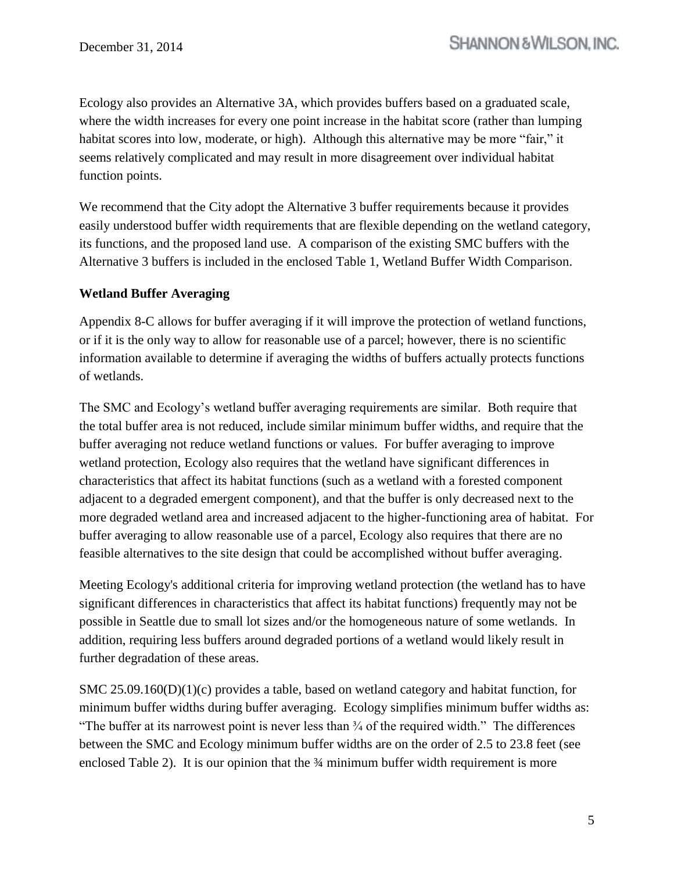Ecology also provides an Alternative 3A, which provides buffers based on a graduated scale, where the width increases for every one point increase in the habitat score (rather than lumping habitat scores into low, moderate, or high). Although this alternative may be more "fair," it seems relatively complicated and may result in more disagreement over individual habitat function points.

We recommend that the City adopt the Alternative 3 buffer requirements because it provides easily understood buffer width requirements that are flexible depending on the wetland category, its functions, and the proposed land use. A comparison of the existing SMC buffers with the Alternative 3 buffers is included in the enclosed Table 1, Wetland Buffer Width Comparison.

# **Wetland Buffer Averaging**

Appendix 8-C allows for buffer averaging if it will improve the protection of wetland functions, or if it is the only way to allow for reasonable use of a parcel; however, there is no scientific information available to determine if averaging the widths of buffers actually protects functions of wetlands.

The SMC and Ecology's wetland buffer averaging requirements are similar. Both require that the total buffer area is not reduced, include similar minimum buffer widths, and require that the buffer averaging not reduce wetland functions or values. For buffer averaging to improve wetland protection, Ecology also requires that the wetland have significant differences in characteristics that affect its habitat functions (such as a wetland with a forested component adjacent to a degraded emergent component), and that the buffer is only decreased next to the more degraded wetland area and increased adjacent to the higher-functioning area of habitat. For buffer averaging to allow reasonable use of a parcel, Ecology also requires that there are no feasible alternatives to the site design that could be accomplished without buffer averaging.

Meeting Ecology's additional criteria for improving wetland protection (the wetland has to have significant differences in characteristics that affect its habitat functions) frequently may not be possible in Seattle due to small lot sizes and/or the homogeneous nature of some wetlands. In addition, requiring less buffers around degraded portions of a wetland would likely result in further degradation of these areas.

SMC 25.09.160(D)(1)(c) provides a table, based on wetland category and habitat function, for minimum buffer widths during buffer averaging. Ecology simplifies minimum buffer widths as: "The buffer at its narrowest point is never less than ¾ of the required width." The differences between the SMC and Ecology minimum buffer widths are on the order of 2.5 to 23.8 feet (see enclosed Table 2). It is our opinion that the  $\frac{3}{4}$  minimum buffer width requirement is more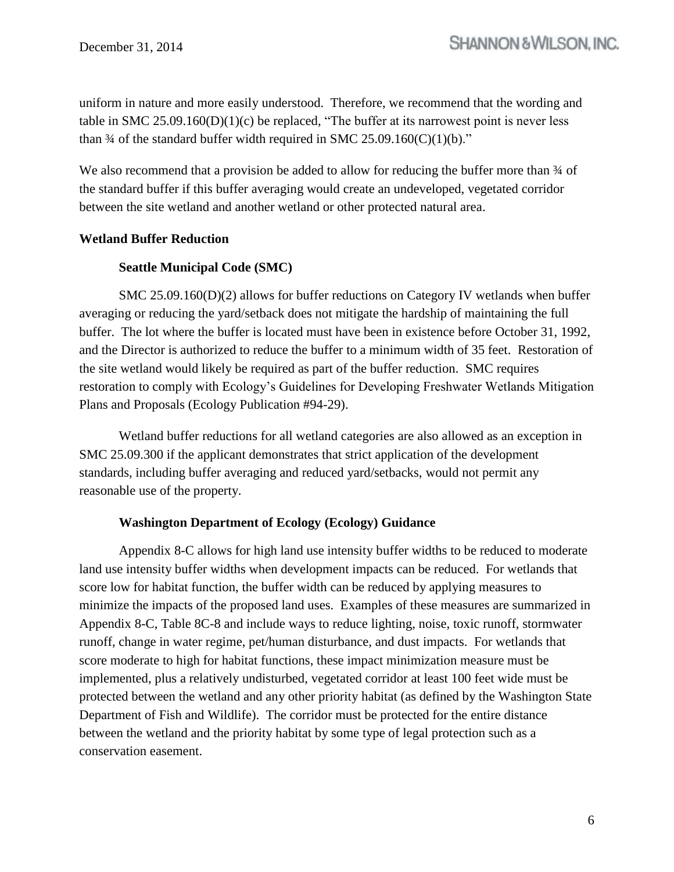uniform in nature and more easily understood. Therefore, we recommend that the wording and table in SMC  $25.09.160(D)(1)(c)$  be replaced, "The buffer at its narrowest point is never less than  $\frac{3}{4}$  of the standard buffer width required in SMC 25.09.160(C)(1)(b)."

We also recommend that a provision be added to allow for reducing the buffer more than  $\frac{3}{4}$  of the standard buffer if this buffer averaging would create an undeveloped, vegetated corridor between the site wetland and another wetland or other protected natural area.

# **Wetland Buffer Reduction**

### **Seattle Municipal Code (SMC)**

SMC  $25.09.160(D)(2)$  allows for buffer reductions on Category IV wetlands when buffer averaging or reducing the yard/setback does not mitigate the hardship of maintaining the full buffer. The lot where the buffer is located must have been in existence before October 31, 1992, and the Director is authorized to reduce the buffer to a minimum width of 35 feet. Restoration of the site wetland would likely be required as part of the buffer reduction. SMC requires restoration to comply with Ecology's Guidelines for Developing Freshwater Wetlands Mitigation Plans and Proposals (Ecology Publication #94-29).

Wetland buffer reductions for all wetland categories are also allowed as an exception in SMC 25.09.300 if the applicant demonstrates that strict application of the development standards, including buffer averaging and reduced yard/setbacks, would not permit any reasonable use of the property.

### **Washington Department of Ecology (Ecology) Guidance**

Appendix 8-C allows for high land use intensity buffer widths to be reduced to moderate land use intensity buffer widths when development impacts can be reduced. For wetlands that score low for habitat function, the buffer width can be reduced by applying measures to minimize the impacts of the proposed land uses. Examples of these measures are summarized in Appendix 8-C, Table 8C-8 and include ways to reduce lighting, noise, toxic runoff, stormwater runoff, change in water regime, pet/human disturbance, and dust impacts. For wetlands that score moderate to high for habitat functions, these impact minimization measure must be implemented, plus a relatively undisturbed, vegetated corridor at least 100 feet wide must be protected between the wetland and any other priority habitat (as defined by the Washington State Department of Fish and Wildlife). The corridor must be protected for the entire distance between the wetland and the priority habitat by some type of legal protection such as a conservation easement.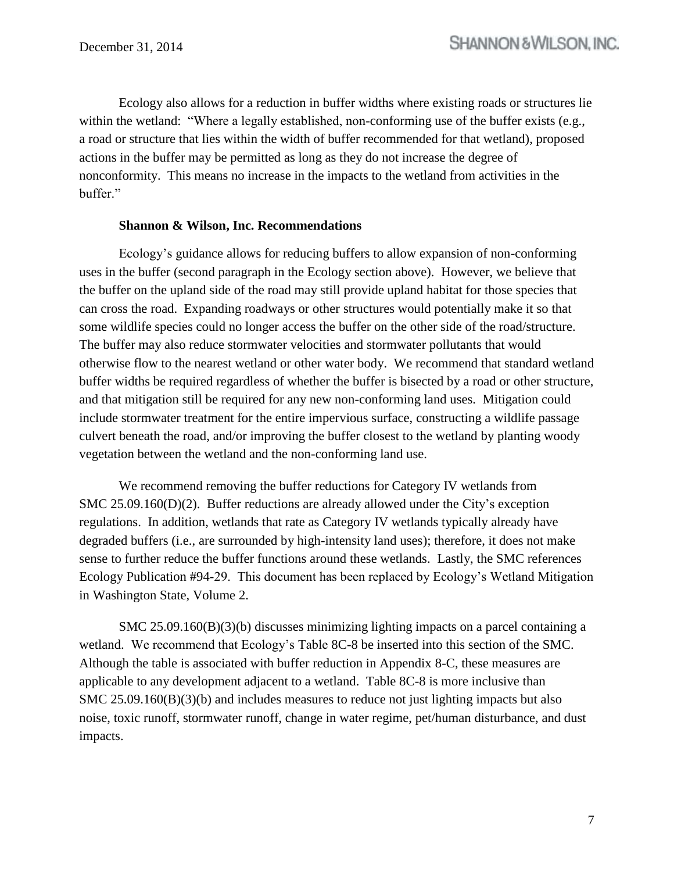Ecology also allows for a reduction in buffer widths where existing roads or structures lie within the wetland: "Where a legally established, non-conforming use of the buffer exists (e.g., a road or structure that lies within the width of buffer recommended for that wetland), proposed actions in the buffer may be permitted as long as they do not increase the degree of nonconformity. This means no increase in the impacts to the wetland from activities in the buffer."

#### **Shannon & Wilson, Inc. Recommendations**

Ecology's guidance allows for reducing buffers to allow expansion of non-conforming uses in the buffer (second paragraph in the Ecology section above). However, we believe that the buffer on the upland side of the road may still provide upland habitat for those species that can cross the road. Expanding roadways or other structures would potentially make it so that some wildlife species could no longer access the buffer on the other side of the road/structure. The buffer may also reduce stormwater velocities and stormwater pollutants that would otherwise flow to the nearest wetland or other water body. We recommend that standard wetland buffer widths be required regardless of whether the buffer is bisected by a road or other structure, and that mitigation still be required for any new non-conforming land uses. Mitigation could include stormwater treatment for the entire impervious surface, constructing a wildlife passage culvert beneath the road, and/or improving the buffer closest to the wetland by planting woody vegetation between the wetland and the non-conforming land use.

We recommend removing the buffer reductions for Category IV wetlands from SMC 25.09.160(D)(2). Buffer reductions are already allowed under the City's exception regulations. In addition, wetlands that rate as Category IV wetlands typically already have degraded buffers (i.e., are surrounded by high-intensity land uses); therefore, it does not make sense to further reduce the buffer functions around these wetlands. Lastly, the SMC references Ecology Publication #94-29. This document has been replaced by Ecology's Wetland Mitigation in Washington State, Volume 2.

SMC 25.09.160(B)(3)(b) discusses minimizing lighting impacts on a parcel containing a wetland. We recommend that Ecology's Table 8C-8 be inserted into this section of the SMC. Although the table is associated with buffer reduction in Appendix 8-C, these measures are applicable to any development adjacent to a wetland. Table 8C-8 is more inclusive than SMC 25.09.160(B)(3)(b) and includes measures to reduce not just lighting impacts but also noise, toxic runoff, stormwater runoff, change in water regime, pet/human disturbance, and dust impacts.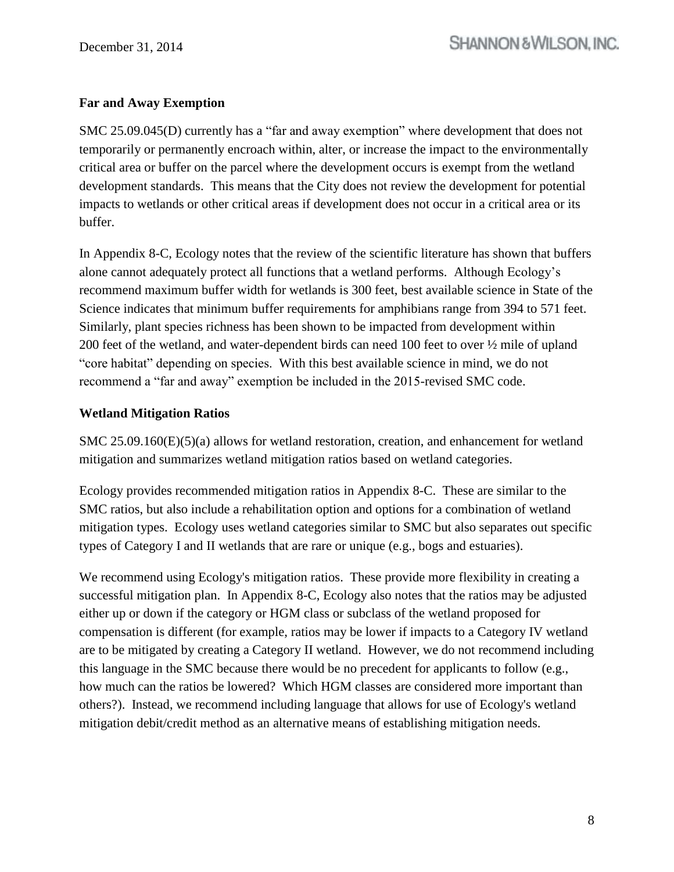# **Far and Away Exemption**

SMC 25.09.045(D) currently has a "far and away exemption" where development that does not temporarily or permanently encroach within, alter, or increase the impact to the environmentally critical area or buffer on the parcel where the development occurs is exempt from the wetland development standards. This means that the City does not review the development for potential impacts to wetlands or other critical areas if development does not occur in a critical area or its buffer.

In Appendix 8-C, Ecology notes that the review of the scientific literature has shown that buffers alone cannot adequately protect all functions that a wetland performs. Although Ecology's recommend maximum buffer width for wetlands is 300 feet, best available science in State of the Science indicates that minimum buffer requirements for amphibians range from 394 to 571 feet. Similarly, plant species richness has been shown to be impacted from development within 200 feet of the wetland, and water-dependent birds can need 100 feet to over ½ mile of upland "core habitat" depending on species. With this best available science in mind, we do not recommend a "far and away" exemption be included in the 2015-revised SMC code.

### **Wetland Mitigation Ratios**

SMC 25.09.160(E)(5)(a) allows for wetland restoration, creation, and enhancement for wetland mitigation and summarizes wetland mitigation ratios based on wetland categories.

Ecology provides recommended mitigation ratios in Appendix 8-C. These are similar to the SMC ratios, but also include a rehabilitation option and options for a combination of wetland mitigation types. Ecology uses wetland categories similar to SMC but also separates out specific types of Category I and II wetlands that are rare or unique (e.g., bogs and estuaries).

We recommend using Ecology's mitigation ratios. These provide more flexibility in creating a successful mitigation plan. In Appendix 8-C, Ecology also notes that the ratios may be adjusted either up or down if the category or HGM class or subclass of the wetland proposed for compensation is different (for example, ratios may be lower if impacts to a Category IV wetland are to be mitigated by creating a Category II wetland. However, we do not recommend including this language in the SMC because there would be no precedent for applicants to follow (e.g., how much can the ratios be lowered? Which HGM classes are considered more important than others?). Instead, we recommend including language that allows for use of Ecology's wetland mitigation debit/credit method as an alternative means of establishing mitigation needs.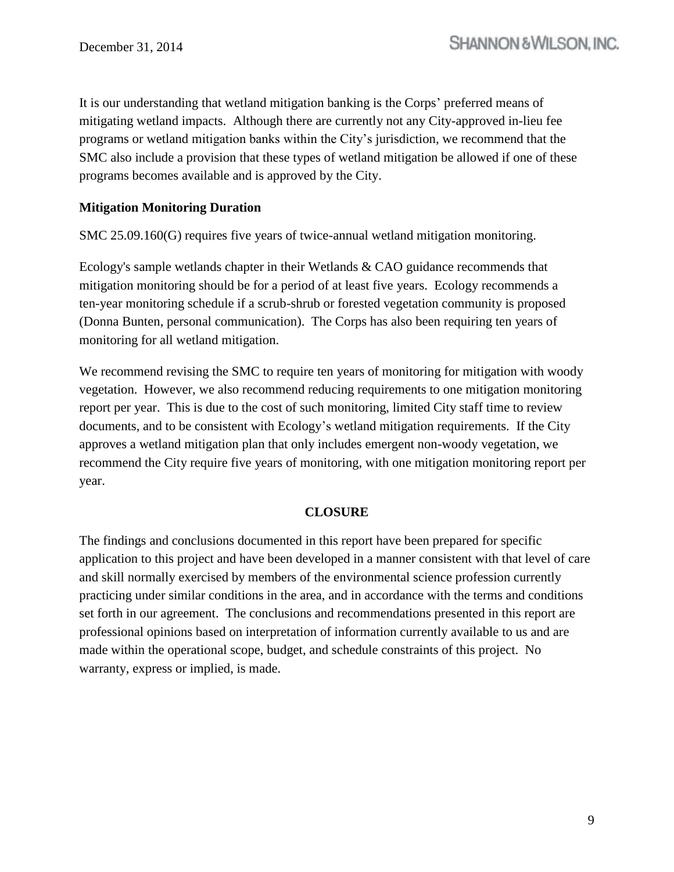It is our understanding that wetland mitigation banking is the Corps' preferred means of mitigating wetland impacts. Although there are currently not any City-approved in-lieu fee programs or wetland mitigation banks within the City's jurisdiction, we recommend that the SMC also include a provision that these types of wetland mitigation be allowed if one of these programs becomes available and is approved by the City.

### **Mitigation Monitoring Duration**

SMC 25.09.160(G) requires five years of twice-annual wetland mitigation monitoring.

Ecology's sample wetlands chapter in their Wetlands & CAO guidance recommends that mitigation monitoring should be for a period of at least five years. Ecology recommends a ten-year monitoring schedule if a scrub-shrub or forested vegetation community is proposed (Donna Bunten, personal communication). The Corps has also been requiring ten years of monitoring for all wetland mitigation.

We recommend revising the SMC to require ten years of monitoring for mitigation with woody vegetation. However, we also recommend reducing requirements to one mitigation monitoring report per year. This is due to the cost of such monitoring, limited City staff time to review documents, and to be consistent with Ecology's wetland mitigation requirements. If the City approves a wetland mitigation plan that only includes emergent non-woody vegetation, we recommend the City require five years of monitoring, with one mitigation monitoring report per year.

#### **CLOSURE**

The findings and conclusions documented in this report have been prepared for specific application to this project and have been developed in a manner consistent with that level of care and skill normally exercised by members of the environmental science profession currently practicing under similar conditions in the area, and in accordance with the terms and conditions set forth in our agreement. The conclusions and recommendations presented in this report are professional opinions based on interpretation of information currently available to us and are made within the operational scope, budget, and schedule constraints of this project. No warranty, express or implied, is made.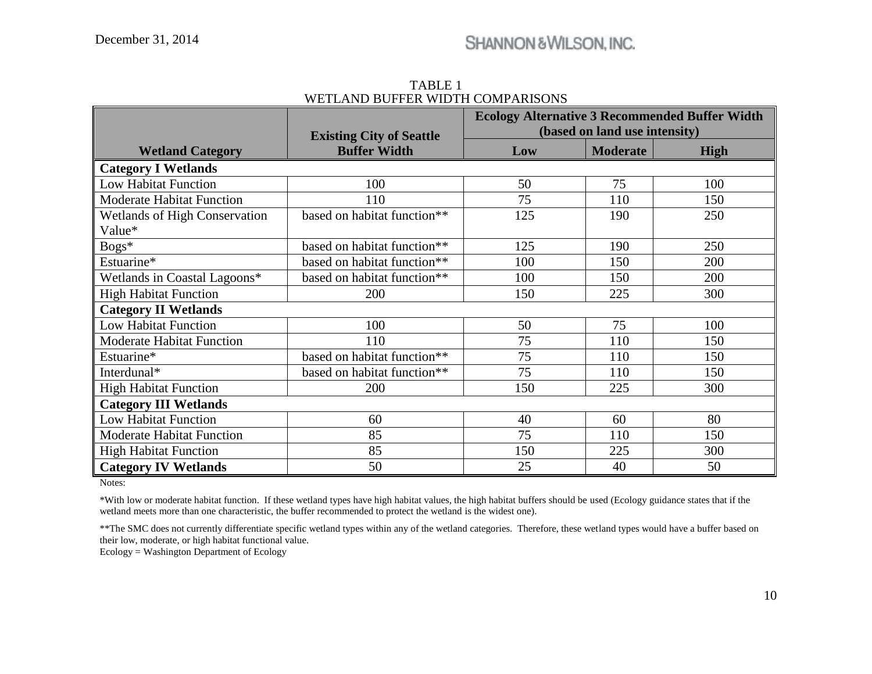|                                  | <b>Existing City of Seattle</b> | <b>Ecology Alternative 3 Recommended Buffer Width</b><br>(based on land use intensity) |                 |      |  |  |
|----------------------------------|---------------------------------|----------------------------------------------------------------------------------------|-----------------|------|--|--|
| <b>Wetland Category</b>          | <b>Buffer Width</b>             | Low                                                                                    | <b>Moderate</b> | High |  |  |
| <b>Category I Wetlands</b>       |                                 |                                                                                        |                 |      |  |  |
| <b>Low Habitat Function</b>      | 100                             | 50                                                                                     | 75              | 100  |  |  |
| <b>Moderate Habitat Function</b> | 110                             | 75                                                                                     | 110             | 150  |  |  |
| Wetlands of High Conservation    | based on habitat function**     | 125                                                                                    | 190             | 250  |  |  |
| Value*                           |                                 |                                                                                        |                 |      |  |  |
| Bogs*                            | based on habitat function**     | 125                                                                                    | 190             | 250  |  |  |
| Estuarine*                       | based on habitat function**     | 100                                                                                    | 150             | 200  |  |  |
| Wetlands in Coastal Lagoons*     | based on habitat function**     | 100                                                                                    | 150             | 200  |  |  |
| <b>High Habitat Function</b>     | 200                             | 150                                                                                    | 225             | 300  |  |  |
| <b>Category II Wetlands</b>      |                                 |                                                                                        |                 |      |  |  |
| <b>Low Habitat Function</b>      | 100                             | 50                                                                                     | 75              | 100  |  |  |
| <b>Moderate Habitat Function</b> | 110                             | 75                                                                                     | 110             | 150  |  |  |
| Estuarine*                       | based on habitat function**     | 75                                                                                     | 110             | 150  |  |  |
| Interdunal*                      | based on habitat function**     | 75                                                                                     | 110             | 150  |  |  |
| <b>High Habitat Function</b>     | 200                             | 150                                                                                    | 225             | 300  |  |  |
| <b>Category III Wetlands</b>     |                                 |                                                                                        |                 |      |  |  |
| <b>Low Habitat Function</b>      | 60                              | 40                                                                                     | 60              | 80   |  |  |
| <b>Moderate Habitat Function</b> | 85                              | 75                                                                                     | 110             | 150  |  |  |
| <b>High Habitat Function</b>     | 85                              | 150                                                                                    | 225             | 300  |  |  |
| <b>Category IV Wetlands</b>      | 50                              | 25                                                                                     | 40              | 50   |  |  |

TABLE 1 WETLAND BUFFER WIDTH COMPARISONS

Notes:

\*With low or moderate habitat function. If these wetland types have high habitat values, the high habitat buffers should be used (Ecology guidance states that if the wetland meets more than one characteristic, the buffer recommended to protect the wetland is the widest one).

\*\*The SMC does not currently differentiate specific wetland types within any of the wetland categories. Therefore, these wetland types would have a buffer based on their low, moderate, or high habitat functional value.

Ecology = Washington Department of Ecology